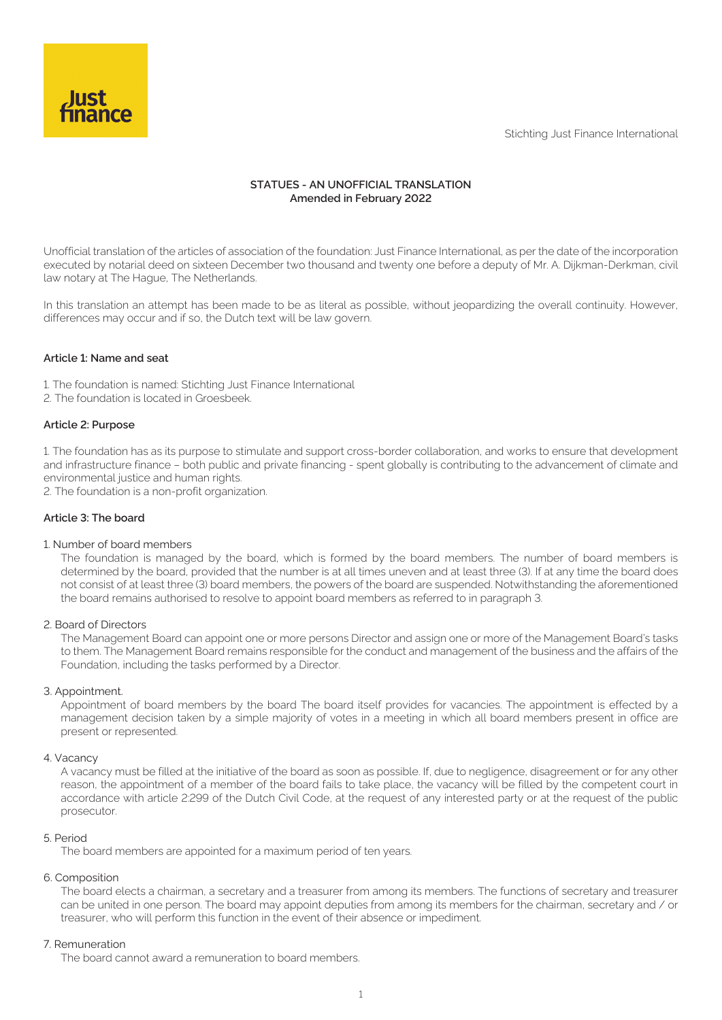Stichting Just Finance International



# **STATUES - AN UNOFFICIAL TRANSLATION Amended in February 2022**

Unofficial translation of the articles of association of the foundation: Just Finance International, as per the date of the incorporation executed by notarial deed on sixteen December two thousand and twenty one before a deputy of Mr. A. Dijkman-Derkman, civil law notary at The Hague, The Netherlands.

In this translation an attempt has been made to be as literal as possible, without jeopardizing the overall continuity. However, differences may occur and if so, the Dutch text will be law govern.

# **Article 1: Name and seat**

1. The foundation is named: Stichting Just Finance International 2. The foundation is located in Groesbeek.

#### **Article 2: Purpose**

1. The foundation has as its purpose to stimulate and support cross-border collaboration, and works to ensure that development and infrastructure finance – both public and private financing - spent globally is contributing to the advancement of climate and environmental justice and human rights.

2. The foundation is a non-profit organization.

### **Article 3: The board**

### 1. Number of board members

The foundation is managed by the board, which is formed by the board members. The number of board members is determined by the board, provided that the number is at all times uneven and at least three (3). If at any time the board does not consist of at least three (3) board members, the powers of the board are suspended. Notwithstanding the aforementioned the board remains authorised to resolve to appoint board members as referred to in paragraph 3.

#### 2. Board of Directors

The Management Board can appoint one or more persons Director and assign one or more of the Management Board's tasks to them. The Management Board remains responsible for the conduct and management of the business and the affairs of the Foundation, including the tasks performed by a Director.

#### 3. Appointment.

Appointment of board members by the board The board itself provides for vacancies. The appointment is effected by a management decision taken by a simple majority of votes in a meeting in which all board members present in office are present or represented.

#### 4. Vacancy

A vacancy must be filled at the initiative of the board as soon as possible. If, due to negligence, disagreement or for any other reason, the appointment of a member of the board fails to take place, the vacancy will be filled by the competent court in accordance with article 2:299 of the Dutch Civil Code, at the request of any interested party or at the request of the public prosecutor.

#### 5. Period

The board members are appointed for a maximum period of ten years.

### 6. Composition

The board elects a chairman, a secretary and a treasurer from among its members. The functions of secretary and treasurer can be united in one person. The board may appoint deputies from among its members for the chairman, secretary and / or treasurer, who will perform this function in the event of their absence or impediment.

#### 7. Remuneration

The board cannot award a remuneration to board members.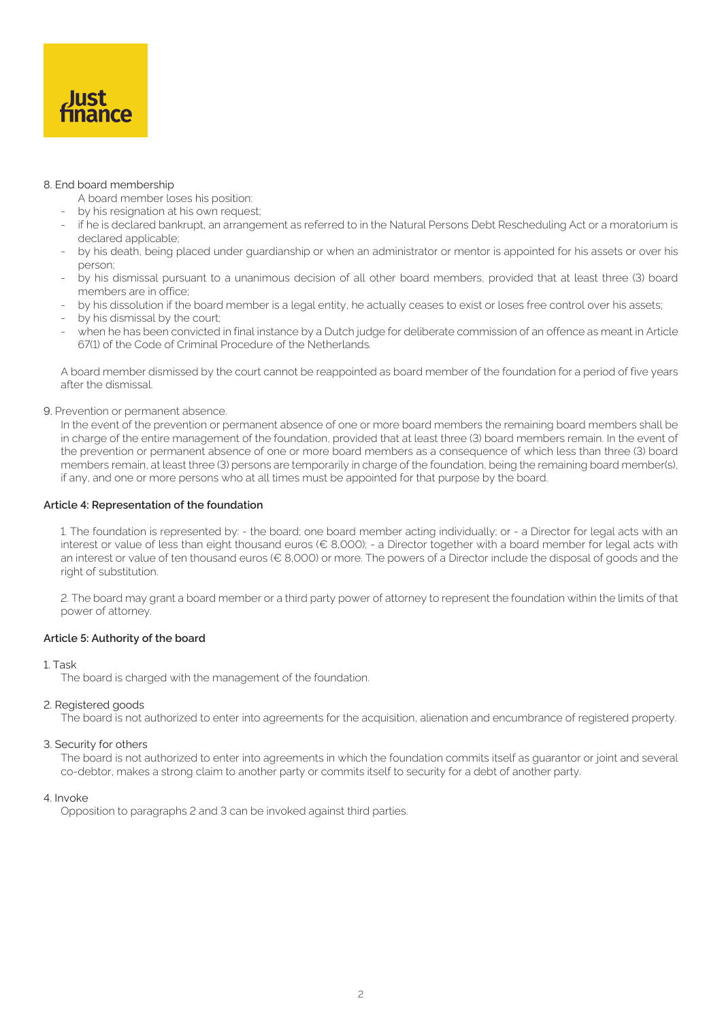

## 8. End board membership

A board member loses his position:

- by his resignation at his own request;
- if he is declared bankrupt, an arrangement as referred to in the Natural Persons Debt Rescheduling Act or a moratorium is declared applicable;
- by his death, being placed under guardianship or when an administrator or mentor is appointed for his assets or over his person;
- by his dismissal pursuant to a unanimous decision of all other board members, provided that at least three (3) board members are in office;
- by his dissolution if the board member is a legal entity, he actually ceases to exist or loses free control over his assets;
- by his dismissal by the court;
- when he has been convicted in final instance by a Dutch judge for deliberate commission of an offence as meant in Article 67(1) of the Code of Criminal Procedure of the Netherlands.

A board member dismissed by the court cannot be reappointed as board member of the foundation for a period of five years after the dismissal.

9. Prevention or permanent absence.

In the event of the prevention or permanent absence of one or more board members the remaining board members shall be in charge of the entire management of the foundation, provided that at least three (3) board members remain. In the event of the prevention or permanent absence of one or more board members as a consequence of which less than three (3) board members remain, at least three (3) persons are temporarily in charge of the foundation, being the remaining board member(s), if any, and one or more persons who at all times must be appointed for that purpose by the board.

## **Article 4: Representation of the foundation**

1. The foundation is represented by: - the board; one board member acting individually; or - a Director for legal acts with an interest or value of less than eight thousand euros (€ 8,000); - a Director together with a board member for legal acts with an interest or value of ten thousand euros (€ 8,000) or more. The powers of a Director include the disposal of goods and the right of substitution.

2. The board may grant a board member or a third party power of attorney to represent the foundation within the limits of that power of attorney.

#### **Article 5: Authority of the board**

#### 1. Task

The board is charged with the management of the foundation.

#### 2. Registered goods

The board is not authorized to enter into agreements for the acquisition, alienation and encumbrance of registered property.

#### 3. Security for others

The board is not authorized to enter into agreements in which the foundation commits itself as guarantor or joint and several co-debtor, makes a strong claim to another party or commits itself to security for a debt of another party.

#### 4. Invoke

Opposition to paragraphs 2 and 3 can be invoked against third parties.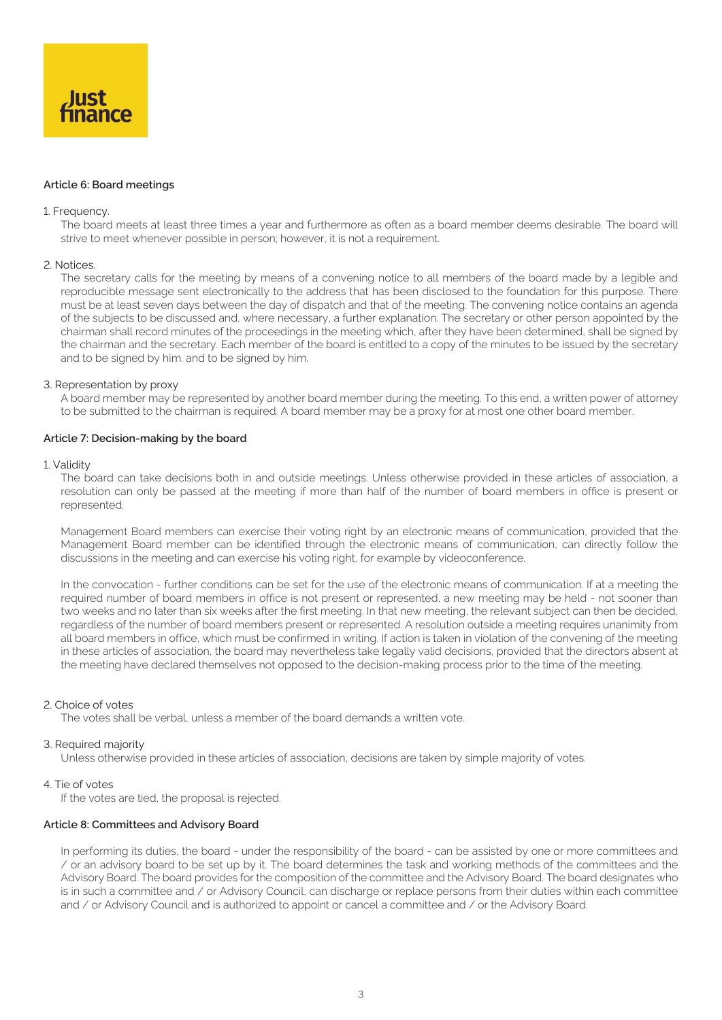

### **Article 6: Board meetings**

#### 1. Frequency.

The board meets at least three times a year and furthermore as often as a board member deems desirable. The board will strive to meet whenever possible in person; however, it is not a requirement.

#### 2. Notices.

The secretary calls for the meeting by means of a convening notice to all members of the board made by a legible and reproducible message sent electronically to the address that has been disclosed to the foundation for this purpose. There must be at least seven days between the day of dispatch and that of the meeting. The convening notice contains an agenda of the subjects to be discussed and, where necessary, a further explanation. The secretary or other person appointed by the chairman shall record minutes of the proceedings in the meeting which, after they have been determined, shall be signed by the chairman and the secretary. Each member of the board is entitled to a copy of the minutes to be issued by the secretary and to be signed by him. and to be signed by him.

#### 3. Representation by proxy

A board member may be represented by another board member during the meeting. To this end, a written power of attorney to be submitted to the chairman is required. A board member may be a proxy for at most one other board member.

#### **Article 7: Decision-making by the board**

#### 1. Validity

The board can take decisions both in and outside meetings. Unless otherwise provided in these articles of association, a resolution can only be passed at the meeting if more than half of the number of board members in office is present or represented.

Management Board members can exercise their voting right by an electronic means of communication, provided that the Management Board member can be identified through the electronic means of communication, can directly follow the discussions in the meeting and can exercise his voting right, for example by videoconference.

In the convocation - further conditions can be set for the use of the electronic means of communication. If at a meeting the required number of board members in office is not present or represented, a new meeting may be held - not sooner than two weeks and no later than six weeks after the first meeting. In that new meeting, the relevant subject can then be decided, regardless of the number of board members present or represented. A resolution outside a meeting requires unanimity from all board members in office, which must be confirmed in writing. If action is taken in violation of the convening of the meeting in these articles of association, the board may nevertheless take legally valid decisions, provided that the directors absent at the meeting have declared themselves not opposed to the decision-making process prior to the time of the meeting.

#### 2. Choice of votes

The votes shall be verbal, unless a member of the board demands a written vote.

#### 3. Required majority

Unless otherwise provided in these articles of association, decisions are taken by simple majority of votes.

## 4. Tie of votes

If the votes are tied, the proposal is rejected.

#### **Article 8: Committees and Advisory Board**

In performing its duties, the board - under the responsibility of the board - can be assisted by one or more committees and / or an advisory board to be set up by it. The board determines the task and working methods of the committees and the Advisory Board. The board provides for the composition of the committee and the Advisory Board. The board designates who is in such a committee and / or Advisory Council, can discharge or replace persons from their duties within each committee and / or Advisory Council and is authorized to appoint or cancel a committee and / or the Advisory Board.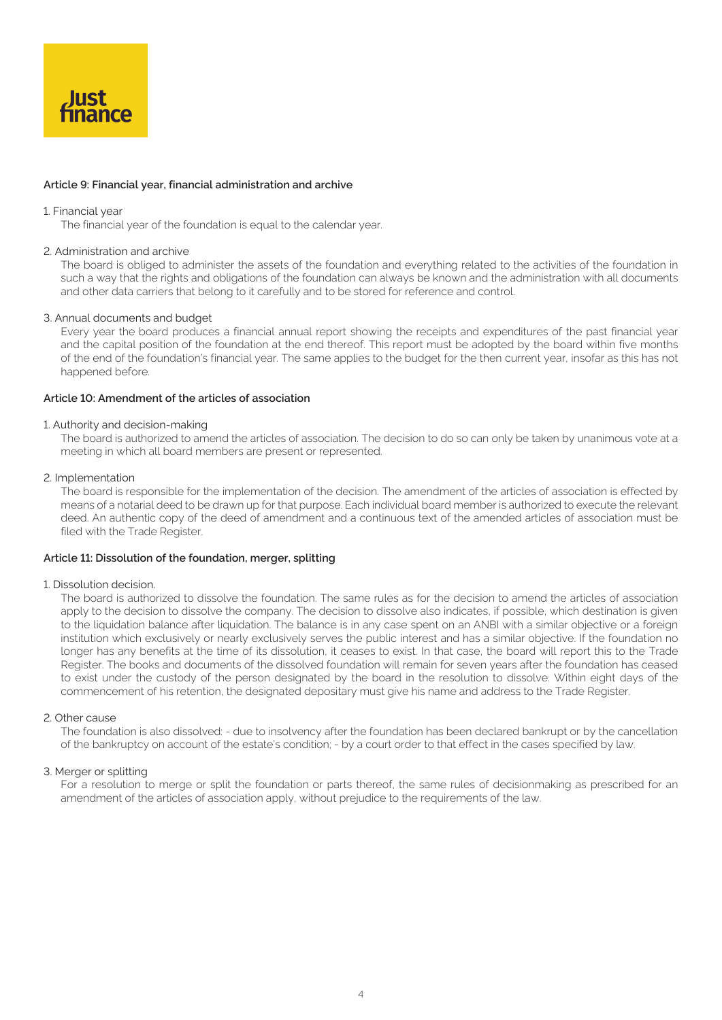

# **Article 9: Financial year, financial administration and archive**

#### 1. Financial year

The financial year of the foundation is equal to the calendar year.

### 2. Administration and archive

The board is obliged to administer the assets of the foundation and everything related to the activities of the foundation in such a way that the rights and obligations of the foundation can always be known and the administration with all documents and other data carriers that belong to it carefully and to be stored for reference and control.

## 3. Annual documents and budget

Every year the board produces a financial annual report showing the receipts and expenditures of the past financial year and the capital position of the foundation at the end thereof. This report must be adopted by the board within five months of the end of the foundation's financial year. The same applies to the budget for the then current year, insofar as this has not happened before.

# **Article 10: Amendment of the articles of association**

#### 1. Authority and decision-making

The board is authorized to amend the articles of association. The decision to do so can only be taken by unanimous vote at a meeting in which all board members are present or represented.

#### 2. Implementation

The board is responsible for the implementation of the decision. The amendment of the articles of association is effected by means of a notarial deed to be drawn up for that purpose. Each individual board member is authorized to execute the relevant deed. An authentic copy of the deed of amendment and a continuous text of the amended articles of association must be filed with the Trade Register.

#### **Article 11: Dissolution of the foundation, merger, splitting**

#### 1. Dissolution decision.

The board is authorized to dissolve the foundation. The same rules as for the decision to amend the articles of association apply to the decision to dissolve the company. The decision to dissolve also indicates, if possible, which destination is given to the liquidation balance after liquidation. The balance is in any case spent on an ANBI with a similar objective or a foreign institution which exclusively or nearly exclusively serves the public interest and has a similar objective. If the foundation no longer has any benefits at the time of its dissolution, it ceases to exist. In that case, the board will report this to the Trade Register. The books and documents of the dissolved foundation will remain for seven years after the foundation has ceased to exist under the custody of the person designated by the board in the resolution to dissolve. Within eight days of the commencement of his retention, the designated depositary must give his name and address to the Trade Register.

#### 2. Other cause

The foundation is also dissolved: - due to insolvency after the foundation has been declared bankrupt or by the cancellation of the bankruptcy on account of the estate's condition; - by a court order to that effect in the cases specified by law.

# 3. Merger or splitting

For a resolution to merge or split the foundation or parts thereof, the same rules of decisionmaking as prescribed for an amendment of the articles of association apply, without prejudice to the requirements of the law.